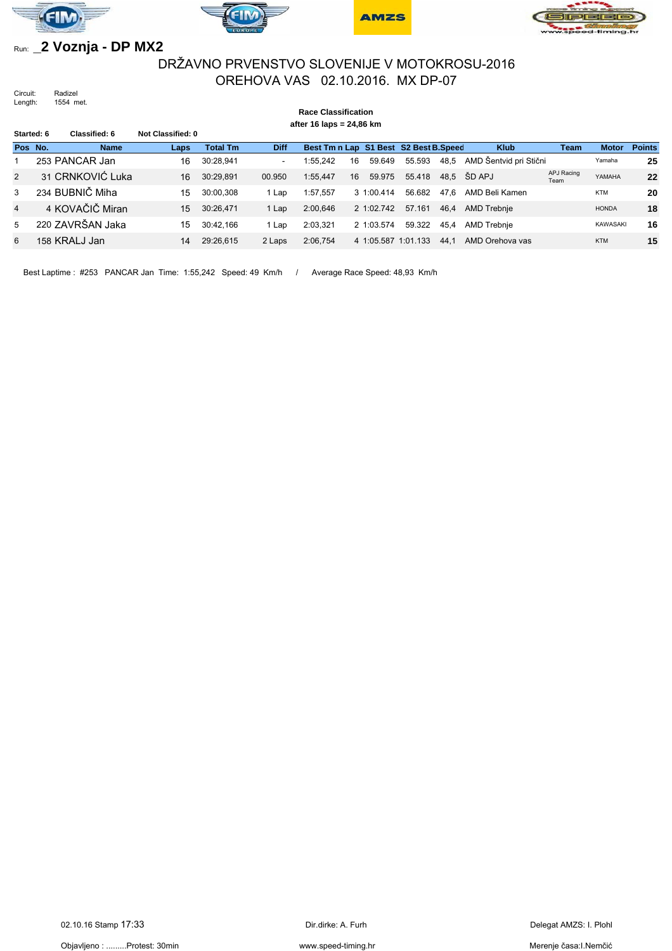







## Run: **\_2 Voznja - DP MX2**

## DRŽAVNO PRVENSTVO SLOVENIJE V MOTOKROSU-2016 OREHOVA VAS 02.10.2016. MX DP-07

Circuit: Radizel<br>Length: 1554 m 1554 met.

|                | <b>Race Classification</b><br>after 16 laps = 24,86 km |                  |                   |                 |             |                                       |    |                |                     |      |                        |                    |              |               |
|----------------|--------------------------------------------------------|------------------|-------------------|-----------------|-------------|---------------------------------------|----|----------------|---------------------|------|------------------------|--------------------|--------------|---------------|
| Started: 6     |                                                        | Classified: 6    | Not Classified: 0 |                 |             |                                       |    |                |                     |      |                        |                    |              |               |
| Pos No.        |                                                        | <b>Name</b>      | Laps              | <b>Total Tm</b> | <b>Diff</b> | Best Tm n Lap S1 Best S2 Best B.Speed |    |                |                     |      | <b>Klub</b>            | <b>Team</b>        | <b>Motor</b> | <b>Points</b> |
|                |                                                        | 253 PANCAR Jan   | 16                | 30:28.941       | $\sim$      | 1:55.242                              | 16 | 59.649         | 55.593              | 48,5 | AMD Šentvid pri Stični |                    | Yamaha       | 25            |
| $\overline{2}$ |                                                        | 31 CRNKOVIĆ Luka | 16                | 30:29,891       | 00.950      | 1:55.447                              | 16 | 59.975         | 55.418              |      | 48,5 ŠD APJ            | APJ Racing<br>Team | YAMAHA       | 22            |
| 3              |                                                        | 234 BUBNIČ Miha  | 15                | 30:00.308       | Lap         | 1:57,557                              |    | $3 \t1:00.414$ | 56.682              | 47.6 | AMD Beli Kamen         |                    | <b>KTM</b>   | 20            |
| 4              |                                                        | 4 KOVAČIČ Miran  | 15                | 30:26.471       | 1 Lap       | 2:00,646                              |    | 2 1:02.742     | 57.161              | 46.4 | <b>AMD Trebnie</b>     |                    | <b>HONDA</b> | 18            |
| 5              |                                                        | 220 ZAVRŠAN Jaka | 15                | 30:42.166       | Lap         | 2:03,321                              |    | 2 1:03.574     | 59.322              | 45.4 | AMD Trebnie            |                    | KAWASAKI     | 16            |
| 6              |                                                        | 158 KRALJ Jan    | 14                | 29:26.615       | 2 Laps      | 2:06.754                              |    |                | 4 1:05.587 1:01.133 | 44.1 | AMD Orehova vas        |                    | <b>KTM</b>   | 15            |

Best Laptime : #253 PANCAR Jan Time: 1:55,242 Speed: 49 Km/h / Average Race Speed: 48,93 Km/h